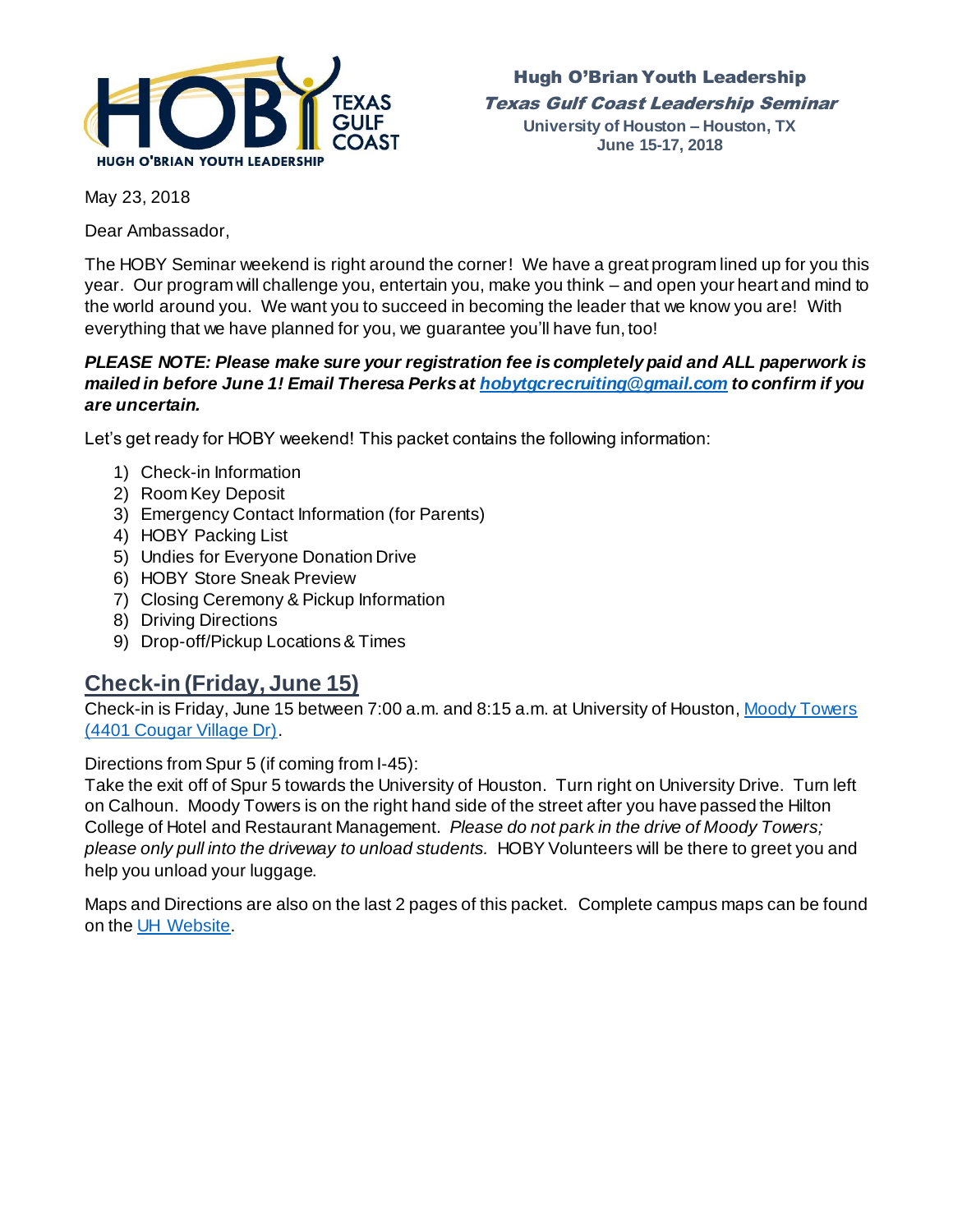

Hugh O'Brian Youth Leadership Texas Gulf Coast Leadership Seminar **University of Houston – Houston, TX June 15-17, 2018**

May 23, 2018

Dear Ambassador,

The HOBY Seminar weekend is right around the corner! We have a great program lined up for you this year. Our program will challenge you, entertain you, make you think – and open your heart and mind to the world around you. We want you to succeed in becoming the leader that we know you are! With everything that we have planned for you, we guarantee you'll have fun, too!

#### *PLEASE NOTE: Please make sure your registration fee is completely paid and ALL paperwork is mailed in before June 1! Email Theresa Perks a[t hobytgcrecruiting@gmail.com](mailto:hobytgcrecruiting@gmail.com) to confirm if you are uncertain.*

Let's get ready for HOBY weekend! This packet contains the following information:

- 1) Check-in Information
- 2) Room Key Deposit
- 3) Emergency Contact Information (for Parents)
- 4) HOBY Packing List
- 5) Undies for Everyone Donation Drive
- 6) HOBY Store Sneak Preview
- 7) Closing Ceremony & Pickup Information
- 8) Driving Directions
- 9) Drop-off/Pickup Locations & Times

### **Check-in (Friday, June 15)**

Check-in is Friday, June 15 between 7:00 a.m. and 8:15 a.m. at University of Houston[, Moody Towers](https://www.google.com/maps/place/University+of+Houston+-+Moody+Towers/@29.7172383,-95.3438099,17z/data=!3m1!4b1!4m5!3m4!1s0x8640be500be0d44d:0xcad15018c56525ea!8m2!3d29.7172383!4d-95.3416212) [\(4401 Cougar Village Dr\)](https://www.google.com/maps/place/University+of+Houston+-+Moody+Towers/@29.7172383,-95.3438099,17z/data=!3m1!4b1!4m5!3m4!1s0x8640be500be0d44d:0xcad15018c56525ea!8m2!3d29.7172383!4d-95.3416212).

Directions from Spur 5 (if coming from I-45):

Take the exit off of Spur 5 towards the University of Houston. Turn right on University Drive. Turn left on Calhoun. Moody Towers is on the right hand side of the street after you have passed the Hilton College of Hotel and Restaurant Management. *Please do not park in the drive of Moody Towers; please only pull into the driveway to unload students.* HOBY Volunteers will be there to greet you and help you unload your luggage.

Maps and Directions are also on the last 2 pages of this packet. Complete campus maps can be found on th[e UH Website.](http://www.uh.edu/maps/)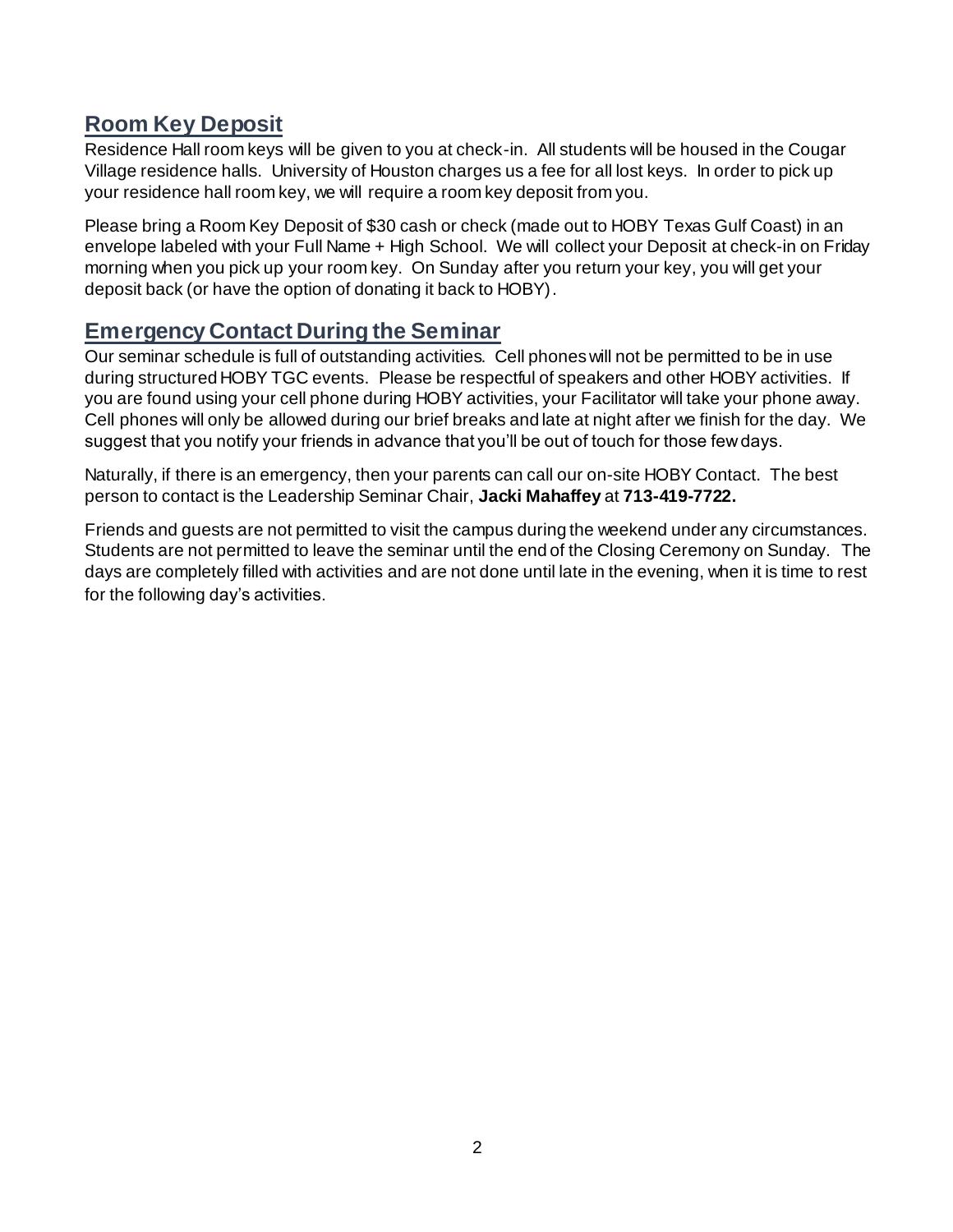### **Room Key Deposit**

Residence Hall room keys will be given to you at check-in. All students will be housed in the Cougar Village residence halls. University of Houston charges us a fee for all lost keys. In order to pick up your residence hall room key, we will require a room key deposit from you.

Please bring a Room Key Deposit of \$30 cash or check (made out to HOBY Texas Gulf Coast) in an envelope labeled with your Full Name + High School. We will collect your Deposit at check-in on Friday morning when you pick up your room key. On Sunday after you return your key, you will get your deposit back (or have the option of donating it back to HOBY).

### **Emergency Contact During the Seminar**

Our seminar schedule is full of outstanding activities. Cell phones will not be permitted to be in use during structured HOBY TGC events. Please be respectful of speakers and other HOBY activities. If you are found using your cell phone during HOBY activities, your Facilitator will take your phone away. Cell phones will only be allowed during our brief breaks and late at night after we finish for the day. We suggest that you notify your friends in advance that you'll be out of touch for those few days.

Naturally, if there is an emergency, then your parents can call our on-site HOBY Contact. The best person to contact is the Leadership Seminar Chair, **Jacki Mahaffey** at **713-419-7722.** 

Friends and guests are not permitted to visit the campus during the weekend under any circumstances. Students are not permitted to leave the seminar until the end of the Closing Ceremony on Sunday. The days are completely filled with activities and are not done until late in the evening, when it is time to rest for the following day's activities.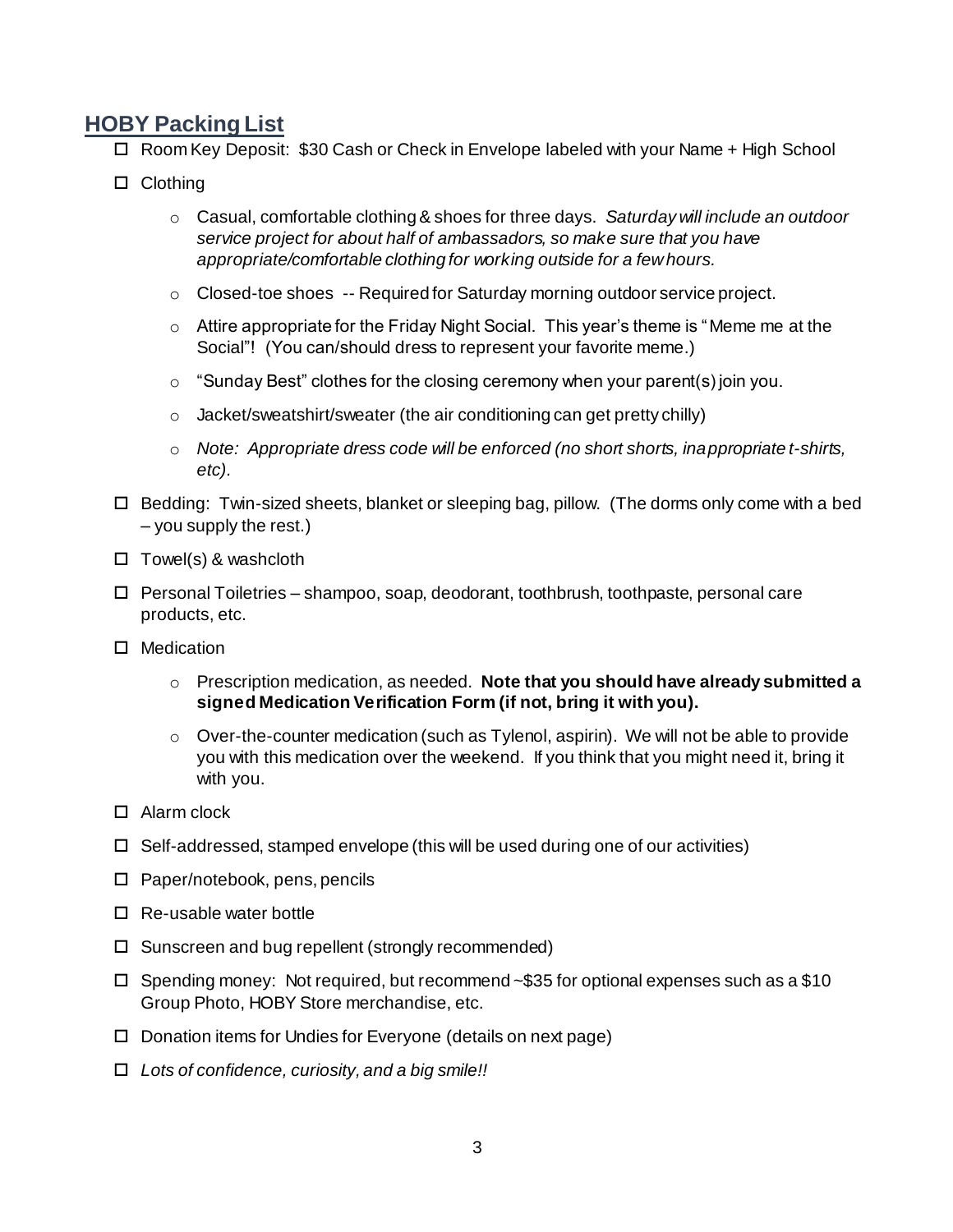### **HOBY Packing List**

- □ Room Key Deposit: \$30 Cash or Check in Envelope labeled with your Name + High School
- □ Clothing
	- o Casual, comfortable clothing & shoes for three days. *Saturday will include an outdoor service project for about half of ambassadors, so make sure that you have appropriate/comfortable clothing for working outside for a few hours.*
	- $\circ$  Closed-toe shoes  $-$  Required for Saturday morning outdoor service project.
	- o Attire appropriate for the Friday Night Social. This year's theme is "Meme me at the Social"! (You can/should dress to represent your favorite meme.)
	- $\circ$  "Sunday Best" clothes for the closing ceremony when your parent(s) join you.
	- o Jacket/sweatshirt/sweater (the air conditioning can get pretty chilly)
	- o *Note: Appropriate dress code will be enforced (no short shorts, inappropriate t-shirts, etc).*
- Bedding: Twin-sized sheets, blanket or sleeping bag, pillow. (The dorms only come with a bed – you supply the rest.)
- $\Box$  Towel(s) & washcloth
- $\Box$  Personal Toiletries shampoo, soap, deodorant, toothbrush, toothpaste, personal care products, etc.
- □ Medication
	- o Prescription medication, as needed. **Note that you should have already submitted a signed Medication Verification Form (if not, bring it with you).**
	- o Over-the-counter medication (such as Tylenol, aspirin). We will not be able to provide you with this medication over the weekend. If you think that you might need it, bring it with you.
- □ Alarm clock
- $\Box$  Self-addressed, stamped envelope (this will be used during one of our activities)
- $\Box$  Paper/notebook, pens, pencils
- $\Box$  Re-usable water bottle
- $\Box$  Sunscreen and bug repellent (strongly recommended)
- $\Box$  Spending money: Not required, but recommend ~\$35 for optional expenses such as a \$10 Group Photo, HOBY Store merchandise, etc.
- $\Box$  Donation items for Undies for Everyone (details on next page)
- *Lots of confidence, curiosity, and a big smile!!*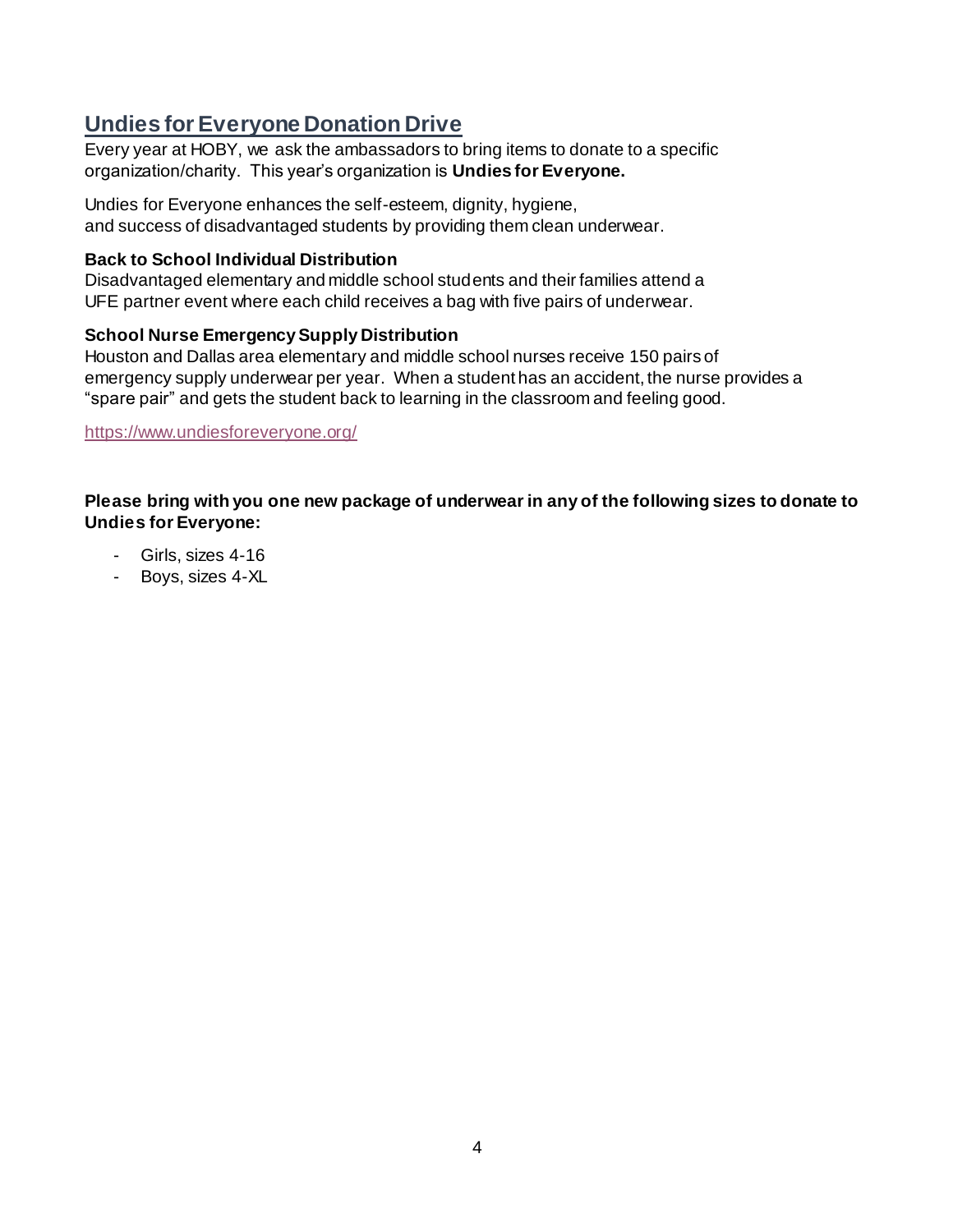# **Undies for Everyone Donation Drive**

Every year at HOBY, we ask the ambassadors to bring items to donate to a specific organization/charity. This year's organization is **Undies for Everyone.**

Undies for Everyone enhances the self-esteem, dignity, hygiene, and success of disadvantaged students by providing them clean underwear.

#### **Back to School Individual Distribution**

Disadvantaged elementary and middle school students and their families attend a UFE partner event where each child receives a bag with five pairs of underwear.

#### **School Nurse Emergency Supply Distribution**

Houston and Dallas area elementary and middle school nurses receive 150 pairs of emergency supply underwear per year. When a student has an accident, the nurse provides a "spare pair" and gets the student back to learning in the classroom and feeling good.

<https://www.undiesforeveryone.org/>

#### **Please bring with you one new package of underwear in any of the following sizes to donate to Undies for Everyone:**

- Girls, sizes 4-16
- Boys, sizes 4-XL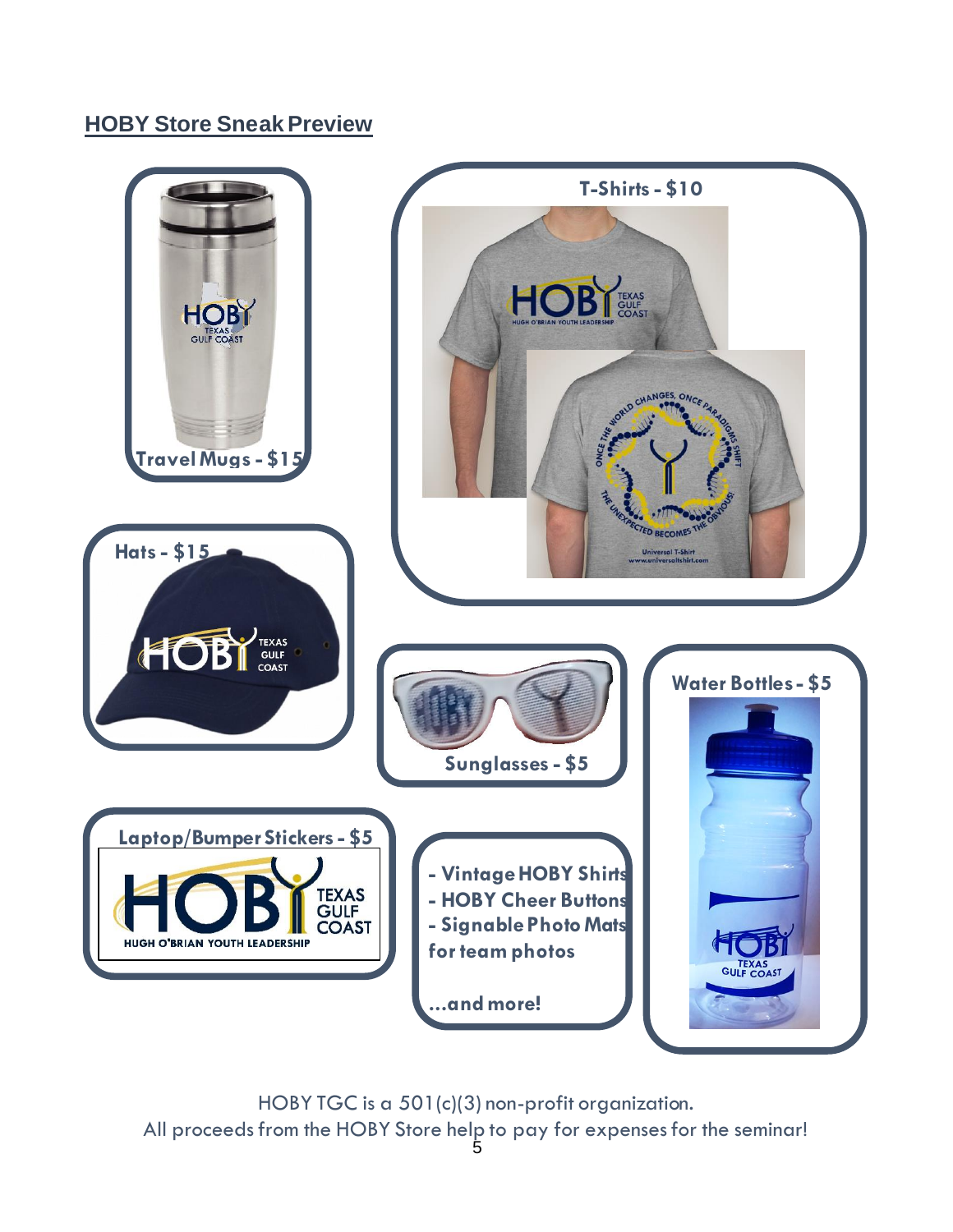# **HOBY Store Sneak Preview**



HOBY TGC is a 501(c)(3) non-profit organization. All proceeds from the HOBY Store help to pay for expenses for the seminar!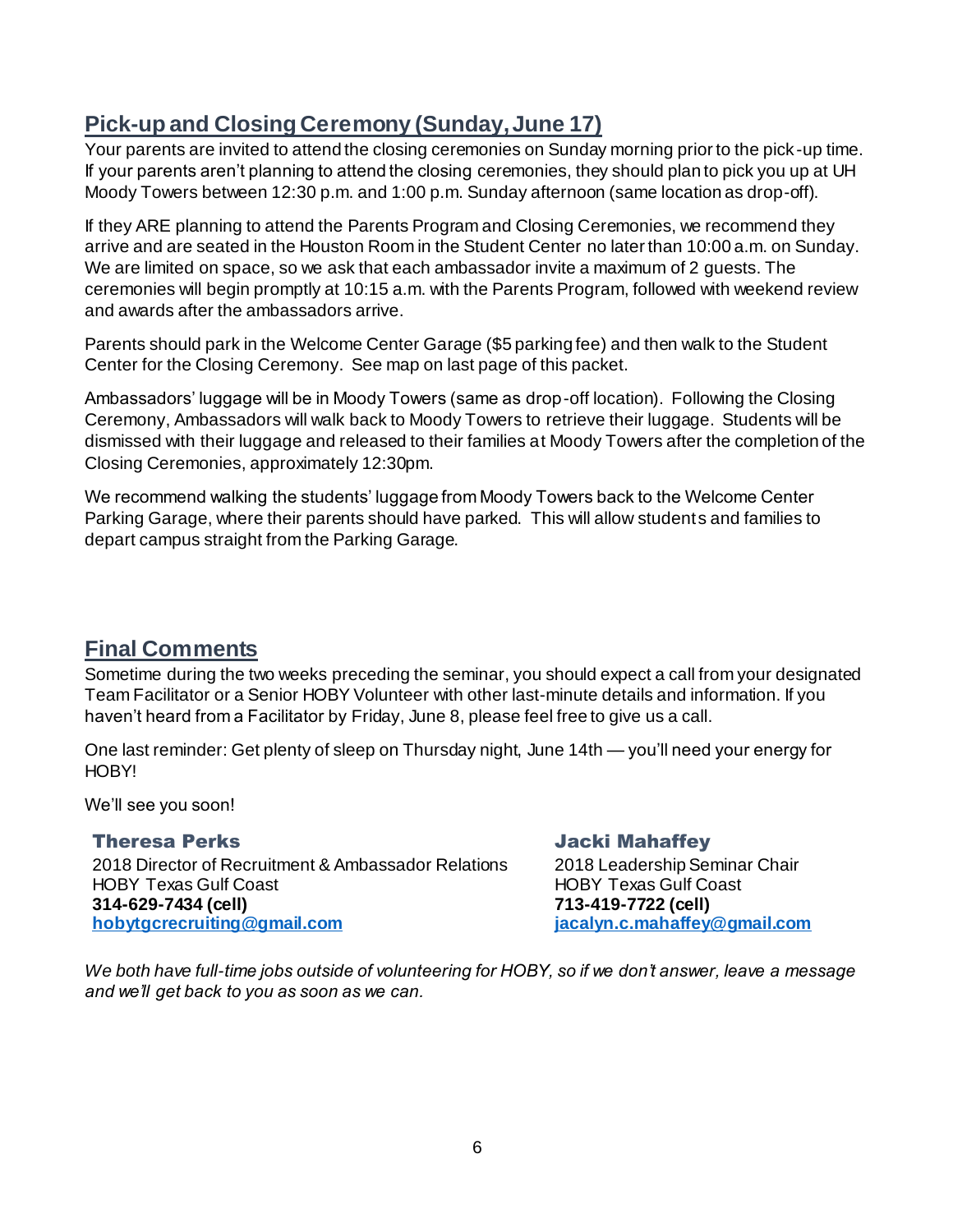# **Pick-up and Closing Ceremony (Sunday,June 17)**

Your parents are invited to attend the closing ceremonies on Sunday morning prior to the pick -up time. If your parents aren't planning to attend the closing ceremonies, they should plan to pick you up at UH Moody Towers between 12:30 p.m. and 1:00 p.m. Sunday afternoon (same location as drop-off).

If they ARE planning to attend the Parents Program and Closing Ceremonies, we recommend they arrive and are seated in the Houston Room in the Student Center no later than 10:00 a.m. on Sunday. We are limited on space, so we ask that each ambassador invite a maximum of 2 guests. The ceremonies will begin promptly at 10:15 a.m. with the Parents Program, followed with weekend review and awards after the ambassadors arrive.

Parents should park in the Welcome Center Garage (\$5 parking fee) and then walk to the Student Center for the Closing Ceremony. See map on last page of this packet.

Ambassadors' luggage will be in Moody Towers (same as drop-off location). Following the Closing Ceremony, Ambassadors will walk back to Moody Towers to retrieve their luggage. Students will be dismissed with their luggage and released to their families at Moody Towers after the completion of the Closing Ceremonies, approximately 12:30pm.

We recommend walking the students' luggage from Moody Towers back to the Welcome Center Parking Garage, where their parents should have parked. This will allow students and families to depart campus straight from the Parking Garage.

### **Final Comments**

Sometime during the two weeks preceding the seminar, you should expect a call from your designated Team Facilitator or a Senior HOBY Volunteer with other last-minute details and information. If you haven't heard from a Facilitator by Friday, June 8, please feel free to give us a call.

One last reminder: Get plenty of sleep on Thursday night, June 14th — you'll need your energy for HOBY!

We'll see you soon!

Theresa Perks 2018 Director of Recruitment & Ambassador Relations HOBY Texas Gulf Coast **314-629-7434 (cell) [hobytgcrecruiting@gmail.com](mailto:hobytgcrecruiting@gmail.com)**

Jacki Mahaffey 2018 Leadership Seminar Chair HOBY Texas Gulf Coast **713-419-7722 (cell) [jacalyn.c.mahaffey@gmail.com](mailto:jacalyn.c.mahaffey@gmail.com)**

*We both have full-time jobs outside of volunteering for HOBY, so if we don't answer, leave a message and we'll get back to you as soon as we can.*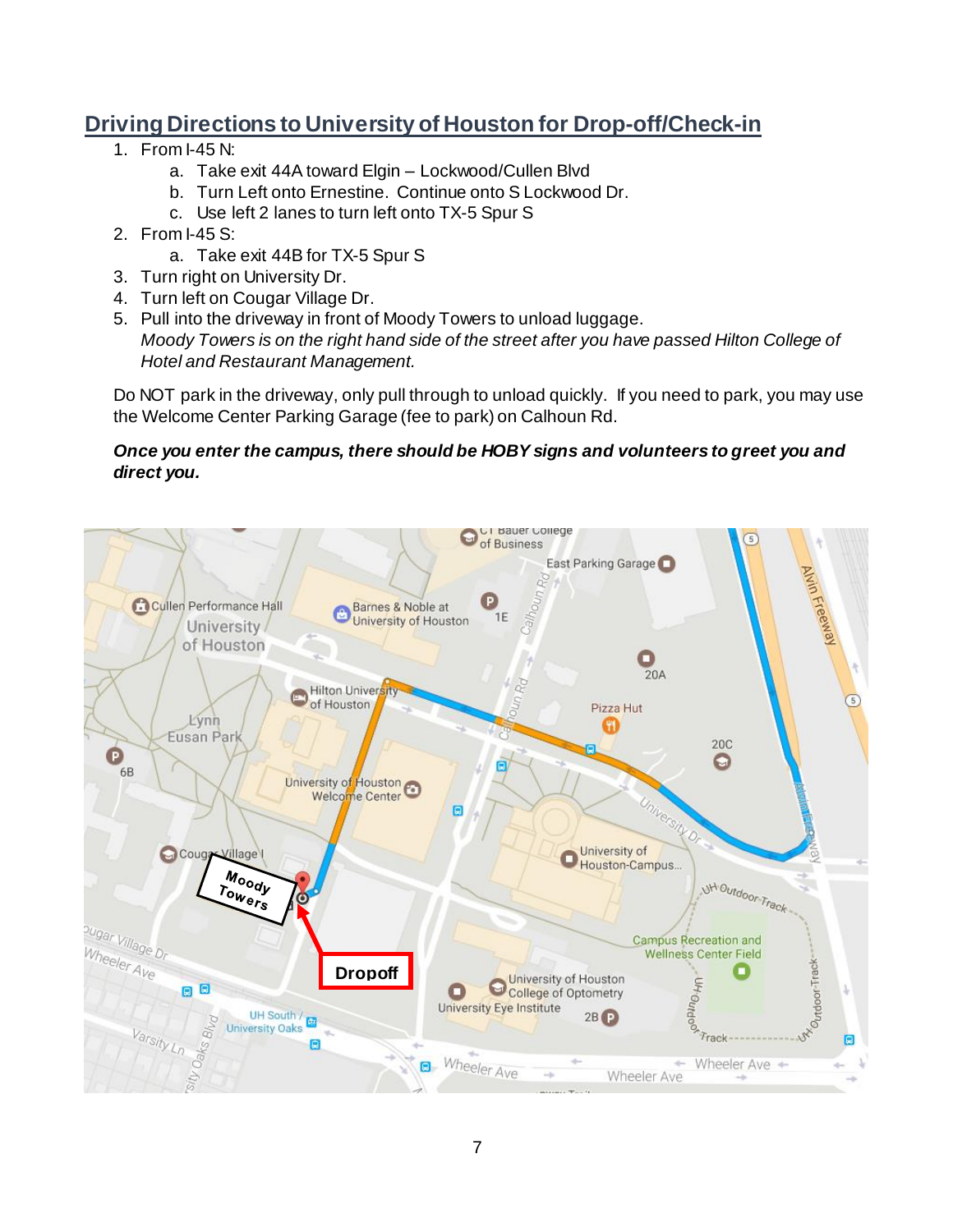# **Driving Directions to University of Houston for Drop-off/Check-in**

- 1. From  $I-45 N$ 
	- a. Take exit 44A toward Elgin Lockwood/Cullen Blvd
	- b. Turn Left onto Ernestine. Continue onto S Lockwood Dr.
	- c. Use left 2 lanes to turn left onto TX-5 Spur S
- 2. From I-45 S:
	- a. Take exit 44B for TX-5 Spur S
- 3. Turn right on University Dr.
- 4. Turn left on Cougar Village Dr.
- 5. Pull into the driveway in front of Moody Towers to unload luggage. *Moody Towers is on the right hand side of the street after you have passed Hilton College of Hotel and Restaurant Management.*

Do NOT park in the driveway, only pull through to unload quickly. If you need to park, you may use the Welcome Center Parking Garage (fee to park) on Calhoun Rd.

#### *Once you enter the campus, there should be HOBY signs and volunteers to greet you and direct you.*